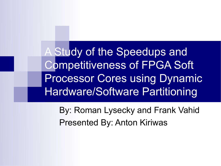A Study of the Speedups and Competitiveness of FPGA Soft Processor Cores using Dynamic Hardware/Software Partitioning

By: Roman Lysecky and Frank Vahid Presented By: Anton Kiriwas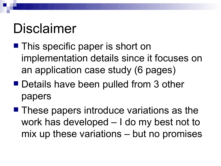# Disclaimer

- This specific paper is short on implementation details since it focuses on an application case study (6 pages)
- Details have been pulled from 3 other papers
- These papers introduce variations as the work has developed – I do my best not to mix up these variations – but no promises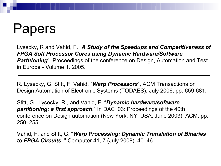## Papers

Lysecky, R and Vahid, F. "*A Study of the Speedups and Competitiveness of FPGA Soft Processor Cores using Dynamic Hardware/Software*  **Partitioning**". Proceedings of the conference on Design, Automation and Test in Europe - Volume 1. 2005.

R. Lysecky, G. Stitt, F. Vahid. "*Warp Processors*", ACM Transactions on Design Automation of Electronic Systems (TODAES), July 2006, pp. 659-681.

Stitt, G., Lysecky, R., and Vahid, F. "*Dynamic hardware/software partitioning: a first approach.*" In DAC '03: Proceedings of the 40th conference on Design automation (New York, NY, USA, June 2003), ACM, pp. 250–255.

Vahid, F. and Stitt, G. "*Warp Processing: Dynamic Translation of Binaries to FPGA Circuits .*" Computer 41, 7 (July 2008), 40–46.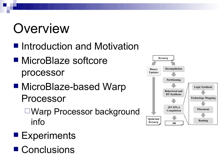# **Overview**

- Introduction and Motivation
- MicroBlaze softcore processor
- MicroBlaze-based Warp Processor
	- ■Warp Processor background info
- Experiments
- Conclusions

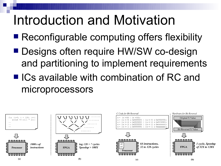# Introduction and Motivation

- Reconfigurable computing offers flexibility
- **Designs often require HW/SW co-design** and partitioning to implement requirements
- ICs available with combination of RC and microprocessors

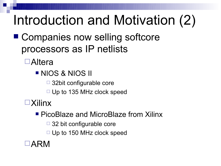# Introduction and Motivation (2)

■ Companies now selling softcore processors as IP netlists

Altera

**NIOS & NIOS II** 

 $\Box$  32bit configurable core

 $\Box$  Up to 135 MHz clock speed

Xilinx

**PicoBlaze and MicroBlaze from Xilinx** 

 $\Box$  32 bit configurable core

 $\Box$  Up to 150 MHz clock speed

 $\Box$ ARM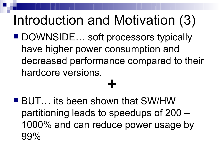# Introduction and Motivation (3)

■ DOWNSIDE... soft processors typically have higher power consumption and decreased performance compared to their hardcore versions.

# **+**

■ BUT... its been shown that SW/HW partitioning leads to speedups of 200 – 1000% and can reduce power usage by 99%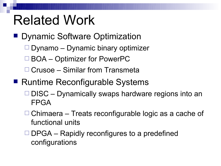# Related Work

- **Dynamic Software Optimization** 
	- $\Box$  Dynamo Dynamic binary optimizer
	- □ BOA Optimizer for PowerPC
	- □ Crusoe Similar from Transmeta
- Runtime Reconfigurable Systems
	- $\Box$  DISC Dynamically swaps hardware regions into an FPGA
	- $\Box$  Chimaera Treats reconfigurable logic as a cache of functional units
	- $\Box$  DPGA Rapidly reconfigures to a predefined configurations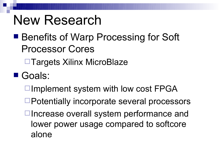### New Research

### ■ Benefits of Warp Processing for Soft Processor Cores

**□Targets Xilinx MicroBlaze** 

Goals:

 $\Box$ Implement system with low cost FPGA

- □Potentially incorporate several processors
- $\Box$  Increase overall system performance and lower power usage compared to softcore alone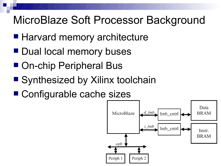### MicroBlaze Soft Processor Background

- Harvard memory architecture
- **Dual local memory buses**
- On-chip Peripheral Bus
- Synthesized by Xilinx toolchain
- Configurable cache sizes

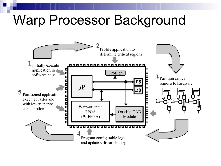# Warp Processor Background

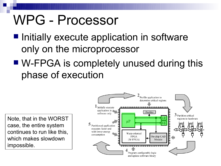## WPG - Processor

- Initially execute application in software only on the microprocessor
- W-FPGA is completely unused during this phase of execution

Note, that in the WORST case, the entire system continues to run like this, which makes slowdown impossible.

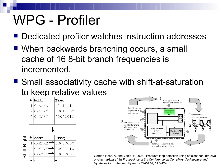# WPG - Profiler

- Dedicated profiler watches instruction addresses
- When backwards branching occurs, a small cache of 16 8-bit branch frequencies is incremented.
- Small associativity cache with shift-at-saturation to keep relative values

| #  Addr      | Freq     |
|--------------|----------|
| $1$   OxXXXX | 11111111 |
| $2$  OxYYYY  | 00011100 |
| 30x2zz       | 00000010 |
|              |          |

| 辷        | # | Addr          | Freq     |
|----------|---|---------------|----------|
| O.       |   | $0x$ XXXX $-$ | 10000000 |
| $\equiv$ |   | 0xYYYY        | 00001110 |
| __<br>თ  | R | 0x7777        | 00000001 |
|          |   |               |          |



Gordon-Ross, A. and Vahid, F. 2003. "Frequent loop detection using efficient non-intrusive onchip hardware." In *Proceedings of the Conference on Compilers, Architecture and Synthesis for Embedded Systems (CASES)*, 117–124.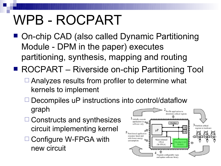# WPB - ROCPART

- On-chip CAD (also called Dynamic Partitioning Module - DPM in the paper) executes partitioning, synthesis, mapping and routing
- ROCPART Riverside on-chip Partitioning Tool
	- $\Box$  Analyzes results from profiler to determine what kernels to implement
	- $\Box$  Decompiles uP instructions into control/dataflow graph Profile application to determine critical regions
	- $\Box$  Constructs and synthesizes circuit implementing kernel
	- □ Configure W-FPGA with new circuit

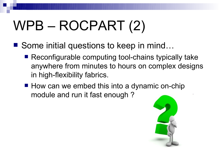# WPB – ROCPART (2)

- Some initial questions to keep in mind...
	- Reconfigurable computing tool-chains typically take anywhere from minutes to hours on complex designs in high-flexibility fabrics.
	- How can we embed this into a dynamic on-chip module and run it fast enough ?

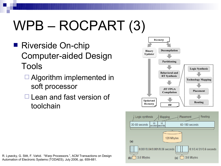# WPB – ROCPART (3)

- Riverside On-chip Computer-aided Design Tools
	- $\Box$  Algorithm implemented in soft processor
	- $\Box$  Lean and fast version of toolchain



R. Lysecky, G. Stitt, F. Vahid. "Warp Processors.", ACM Transactions on Design Automation of Electronic Systems (TODAES), July 2006, pp. 659-681.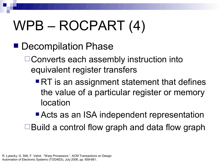# WPB – ROCPART (4)

■ Decompilation Phase

□ Converts each assembly instruction into equivalent register transfers

■ RT is an assignment statement that defines the value of a particular register or memory location

■ Acts as an ISA independent representation  $\Box$  Build a control flow graph and data flow graph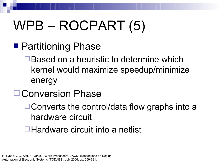# WPB – ROCPART (5)

- Partitioning Phase
	- □Based on a heuristic to determine which kernel would maximize speedup/minimize energy
- □ Conversion Phase
	- $\Box$  Converts the control/data flow graphs into a hardware circuit
	- ■Hardware circuit into a netlist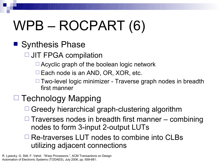# WPB – ROCPART (6)

### ■ Synthesis Phase

- □ JIT FPGA compilation
	- $\Box$  Acyclic graph of the boolean logic network
	- $\Box$  Each node is an AND, OR, XOR, etc.
	- $\Box$  Two-level logic minimizer Traverse graph nodes in breadth first manner

### $\Box$  Technology Mapping

- $\Box$  Greedy hierarchical graph-clustering algorithm
- $\Box$  Traverses nodes in breadth first manner combining nodes to form 3-input 2-output LUTs

#### $\Box$  Re-traverses LUT nodes to combine into CLBs utilizing adjacent connections

R. Lysecky, G. Stitt, F. Vahid. "Warp Processors.", ACM Transactions on Design Automation of Electronic Systems (TODAES), July 2006, pp. 659-681.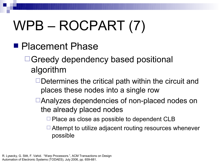# WPB – ROCPART (7)

■ Placement Phase

□Greedy dependency based positional algorithm

- $\Box$ Determines the critical path within the circuit and places these nodes into a single row
- Analyzes dependencies of non-placed nodes on the already placed nodes

 $\Box$  Place as close as possible to dependent CLB

 $\Box$  Attempt to utilize adjacent routing resources whenever possible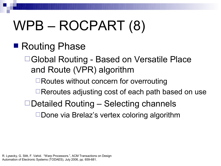# WPB – ROCPART (8)

### ■ Routing Phase

Global Routing - Based on Versatile Place and Route (VPR) algorithm

□Routes without concern for overrouting

□Reroutes adjusting cost of each path based on use

 $\Box$  Detailed Routing – Selecting channels

 $\square$  Done via Brelaz's vertex coloring algorithm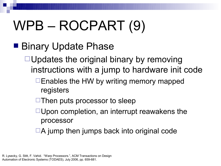# WPB – ROCPART (9)

### ■ Binary Update Phase

 $\Box$  Updates the original binary by removing instructions with a jump to hardware init code

- $\Box$  Enables the HW by writing memory mapped registers
- $\Box$  Then puts processor to sleep
- $\Box$ Upon completion, an interrupt reawakens the processor
- $\Box A$  jump then jumps back into original code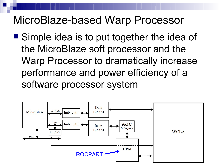### MicroBlaze-based Warp Processor

■ Simple idea is to put together the idea of the MicroBlaze soft processor and the Warp Processor to dramatically increase performance and power efficiency of a software processor system

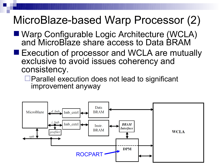### MicroBlaze-based Warp Processor (2)

- Warp Configurable Logic Architecture (WCLA) and MicroBlaze share access to Data BRAM
- **Execution of processor and WCLA are mutually** exclusive to avoid issues coherency and consistency.

 $\Box$  Parallel execution does not lead to significant improvement anyway

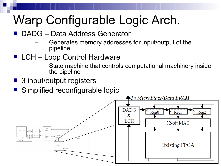## Warp Configurable Logic Arch.

- DADG Data Address Generator
	- Generates memory addresses for input/output of the pipeline
- LCH Loop Control Hardware
	- State machine that controls computational machinery inside the pipeline
- 3 input/output registers
- Simplified reconfigurable logic

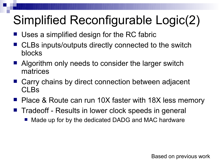## Simplified Reconfigurable Logic(2)

- Uses a simplified design for the RC fabric
- CLBs inputs/outputs directly connected to the switch blocks
- Algorithm only needs to consider the larger switch matrices
- Carry chains by direct connection between adjacent CLBs
- Place & Route can run 10X faster with 18X less memory
- Tradeoff Results in lower clock speeds in general
	- Made up for by the dedicated DADG and MAC hardware

Based on previous work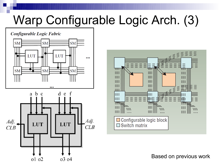### Warp Configurable Logic Arch. (3)

Configurable Logic Fabric







Based on previous work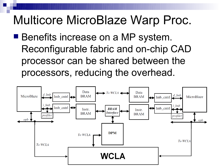### Multicore MicroBlaze Warp Proc.

■ Benefits increase on a MP system. Reconfigurable fabric and on-chip CAD processor can be shared between the processors, reducing the overhead.

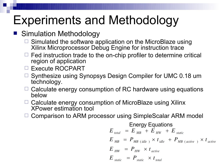### Experiments and Methodology

#### Simulation Methodology

- $\Box$  Simulated the software application on the MicroBlaze using Xilinx Microprocessor Debug Engine for instruction trace
- $\Box$  Fed instruction trade to the on-chip profiler to determine critical region of application
- □ Execute ROCPART
- □ Synthesize using Synopsys Design Compiler for UMC 0.18 um technology.
- $\Box$  Calculate energy consumption of RC hardware using equations below
- $\Box$  Calculate energy consumption of MicroBlaze using Xilinx XPower estimation tool
- Comparison to ARM processor using SimpleScalar ARM model

$$
E_{total} = E_{MB} + E_{HW} + E_{static}
$$
  
\n
$$
E_{MB} = P_{MB (idle)} \times t_{idle} + P_{MB (active)} \times t_{active}
$$
  
\n
$$
E_{HW} = P_{HW} \times t_{active}
$$
  
\n
$$
E_{static} = P_{static} \times t_{total}
$$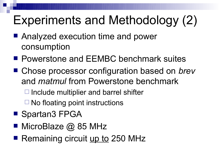## Experiments and Methodology (2)

- Analyzed execution time and power consumption
- **Powerstone and EEMBC benchmark suites**
- Chose processor configuration based on *brev* and *matmul* from Powerstone benchmark
	- $\Box$  Include multiplier and barrel shifter
	- $\Box$  No floating point instructions
- Spartan3 FPGA
- MicroBlaze @ 85 MHz
- Remaining circuit up to 250 MHz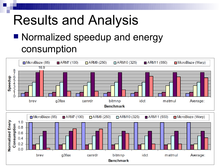# Results and Analysis

### ■ Normalized speedup and energy consumption

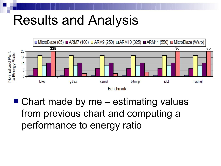# Results and Analysis



 $\blacksquare$  Chart made by me – estimating values from previous chart and computing a performance to energy ratio